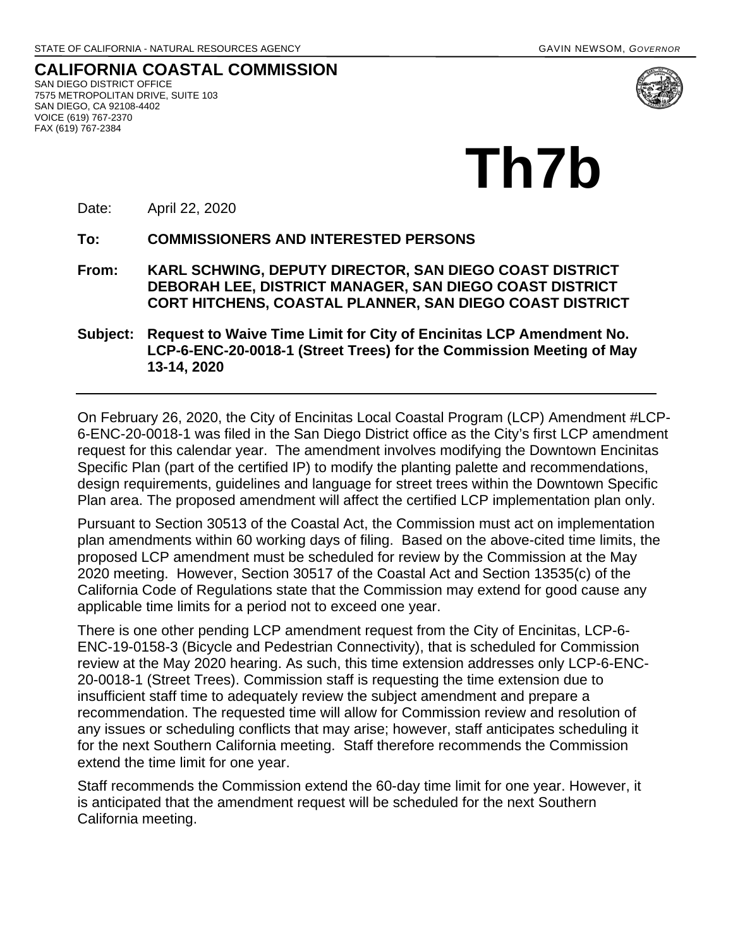**CALIFORNIA COASTAL COMMISSION** SAN DIEGO DISTRICT OFFICE 7575 METROPOLITAN DRIVE, SUITE 103 SAN DIEGO, CA 92108-4402 VOICE (619) 767-2370 FAX (619) 767-2384



Date: April 22, 2020

**To: COMMISSIONERS AND INTERESTED PERSONS** 

- **From: KARL SCHWING, DEPUTY DIRECTOR, SAN DIEGO COAST DISTRICT DEBORAH LEE, DISTRICT MANAGER, SAN DIEGO COAST DISTRICT CORT HITCHENS, COASTAL PLANNER, SAN DIEGO COAST DISTRICT**
- **Subject: Request to Waive Time Limit for City of Encinitas LCP Amendment No. LCP-6-ENC-20-0018-1 (Street Trees) for the Commission Meeting of May 13-14, 2020**

On February 26, 2020, the City of Encinitas Local Coastal Program (LCP) Amendment #LCP-6-ENC-20-0018-1 was filed in the San Diego District office as the City's first LCP amendment request for this calendar year. The amendment involves modifying the Downtown Encinitas Specific Plan (part of the certified IP) to modify the planting palette and recommendations, design requirements, guidelines and language for street trees within the Downtown Specific Plan area. The proposed amendment will affect the certified LCP implementation plan only.

Pursuant to Section 30513 of the Coastal Act, the Commission must act on implementation plan amendments within 60 working days of filing. Based on the above-cited time limits, the proposed LCP amendment must be scheduled for review by the Commission at the May 2020 meeting. However, Section 30517 of the Coastal Act and Section 13535(c) of the California Code of Regulations state that the Commission may extend for good cause any applicable time limits for a period not to exceed one year.

There is one other pending LCP amendment request from the City of Encinitas, LCP-6- ENC-19-0158-3 (Bicycle and Pedestrian Connectivity), that is scheduled for Commission review at the May 2020 hearing. As such, this time extension addresses only LCP-6-ENC-20-0018-1 (Street Trees). Commission staff is requesting the time extension due to insufficient staff time to adequately review the subject amendment and prepare a recommendation. The requested time will allow for Commission review and resolution of any issues or scheduling conflicts that may arise; however, staff anticipates scheduling it for the next Southern California meeting. Staff therefore recommends the Commission extend the time limit for one year.

Staff recommends the Commission extend the 60-day time limit for one year. However, it is anticipated that the amendment request will be scheduled for the next Southern California meeting.